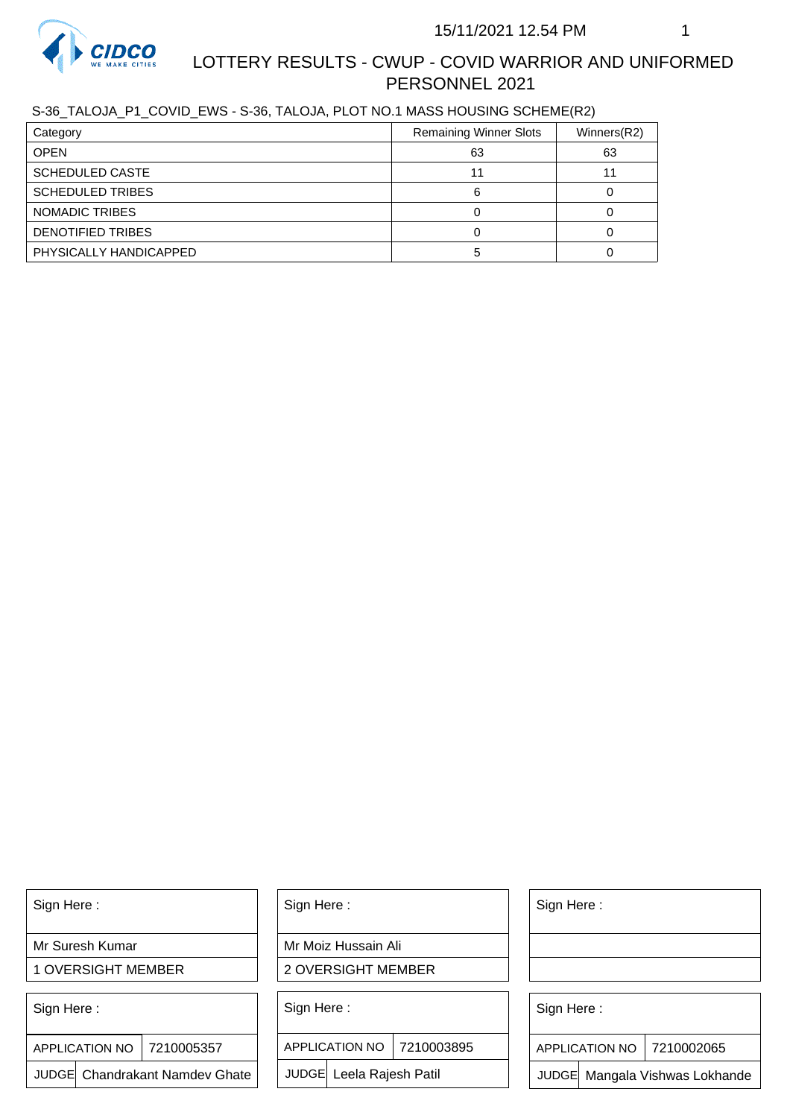

# LOTTERY RESULTS - CWUP - COVID WARRIOR AND UNIFORMED PERSONNEL 2021

S-36\_TALOJA\_P1\_COVID\_EWS - S-36, TALOJA, PLOT NO.1 MASS HOUSING SCHEME(R2)

| Category                | <b>Remaining Winner Slots</b> | Winners(R2) |
|-------------------------|-------------------------------|-------------|
| <b>OPEN</b>             | 63                            | 63          |
| <b>SCHEDULED CASTE</b>  |                               |             |
| <b>SCHEDULED TRIBES</b> | 6                             |             |
| NOMADIC TRIBES          |                               |             |
| DENOTIFIED TRIBES       |                               |             |
| PHYSICALLY HANDICAPPED  |                               |             |

Sign Here :

Mr Suresh Kumar

1 OVERSIGHT MEMBER

Sign Here :

7210005357 APPLICATION NO

JUDGE Chandrakant Namdev Ghate

Sign Here :

Mr Moiz Hussain Ali

2 OVERSIGHT MEMBER

Sign Here :

APPLICATION NO 7210003895

JUDGE Leela Rajesh Patil

Sign Here :

Sign Here :

APPLICATION NO | 7210002065

Chandrakant Namdev Ghate  $|\quad|$  JUDGE Leela Rajesh Patil  $|\quad|$  JUDGE Mangala Vishwas Lokhande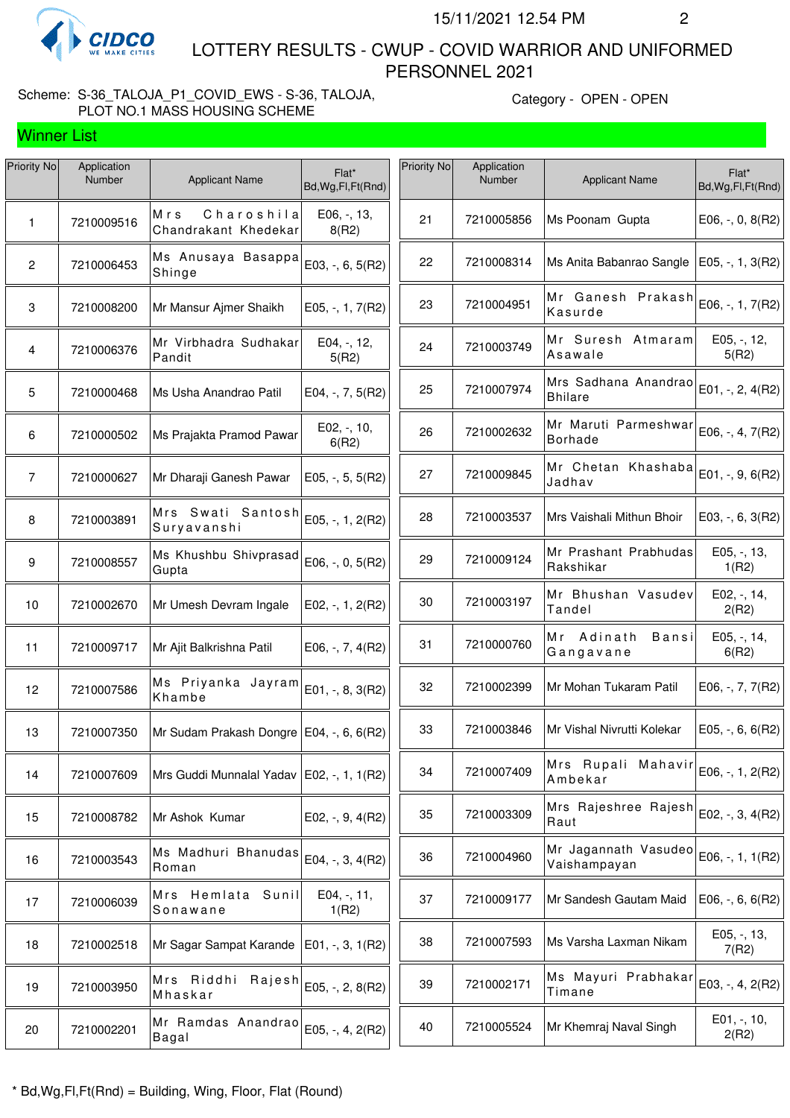

Winner List

 LOTTERY RESULTS - CWUP - COVID WARRIOR AND UNIFORMED PERSONNEL 2021

## Scheme: S-36\_TALOJA\_P1\_COVID\_EWS - S-36, TALOJA, PLOT NO.1 MASS HOUSING SCHEME

Category - OPEN - OPEN

| Priority No     | Application<br>Number | <b>Applicant Name</b>                       | Flat*<br>Bd, Wg, Fl, Ft (Rnd) | Priority No | Application<br>Number | <b>Applicant Name</b>                  | Flat*<br>Bd, Wg, Fl, Ft (Rnd) |
|-----------------|-----------------------|---------------------------------------------|-------------------------------|-------------|-----------------------|----------------------------------------|-------------------------------|
| 1               | 7210009516            | Charoshila<br>Mrs<br>Chandrakant Khedekar   | E06, -, 13,<br>8(R2)          | 21          | 7210005856            | Ms Poonam Gupta                        | $E06, -, 0, 8(R2)$            |
| $\mathbf{2}$    | 7210006453            | Ms Anusaya Basappa<br>Shinge                | E03, -, 6, 5(R2)              | 22          | 7210008314            | Ms Anita Babanrao Sangle               | E05, -, 1, 3(R2)              |
| 3               | 7210008200            | Mr Mansur Ajmer Shaikh                      | $E05, -1, 7(R2)$              | 23          | 7210004951            | Mr Ganesh Prakash<br>Kasurde           | E06, -, 1, 7(R2)              |
| 4               | 7210006376            | Mr Virbhadra Sudhakar<br>Pandit             | E04, -, 12,<br>5(R2)          | 24          | 7210003749            | Mr Suresh Atmaram<br>Asawale           | E05, -, 12,<br>5(R2)          |
| $5\phantom{.0}$ | 7210000468            | Ms Usha Anandrao Patil                      | E04, $-$ , $7$ , $5(R2)$      | 25          | 7210007974            | Mrs Sadhana Anandrao<br><b>Bhilare</b> | E01, $-$ , 2, 4(R2)           |
| 6               | 7210000502            | Ms Prajakta Pramod Pawar                    | E02, -, 10,<br>6(R2)          | 26          | 7210002632            | Mr Maruti Parmeshwar<br><b>Borhade</b> | E06, -, 4, 7(R2)              |
| $\overline{7}$  | 7210000627            | Mr Dharaji Ganesh Pawar                     | $E05, -, 5, 5(R2)$            | 27          | 7210009845            | Mr Chetan Khashaba<br>Jadhav           | E01, -, 9, 6(R2)              |
| 8               | 7210003891            | Mrs Swati Santosh<br>Suryavanshi            | E05, -, 1, 2(R2)              | 28          | 7210003537            | Mrs Vaishali Mithun Bhoir              | $E03, -, 6, 3(R2)$            |
| 9               | 7210008557            | Ms Khushbu Shivprasad<br>Gupta              | E06, -, 0, 5(R2)              | 29          | 7210009124            | Mr Prashant Prabhudas<br>Rakshikar     | E05, -, 13,<br>1(R2)          |
| 10              | 7210002670            | Mr Umesh Devram Ingale                      | E02, $-$ , 1, 2(R2)           | 30          | 7210003197            | Mr Bhushan Vasudev<br>Tandel           | E02, -, 14,<br>2(R2)          |
| 11              | 7210009717            | Mr Ajit Balkrishna Patil                    | $E06, -7, 4(R2)$              | 31          | 7210000760            | Mr Adinath<br>Bansi<br>Gangavane       | E05, -, 14,<br>6(R2)          |
| 12              | 7210007586            | Ms Priyanka Jayram<br>Khambe                | E01, -, 8, 3(R2)              | 32          | 7210002399            | Mr Mohan Tukaram Patil                 | E06, -, 7, 7(R2)              |
| 13              | 7210007350            | Mr Sudam Prakash Dongre   E04, -, 6, 6(R2)  |                               | 33          | 7210003846            | Mr Vishal Nivrutti Kolekar             | E05, $-$ , 6, 6(R2)           |
| 14              | 7210007609            | Mrs Guddi Munnalal Yadav   E02, -, 1, 1(R2) |                               | 34          | 7210007409            | Mrs Rupali Mahavir<br>Ambekar          | E06, -, 1, 2(R2)              |
| 15              | 7210008782            | Mr Ashok Kumar                              | E02, $-$ , 9, 4(R2)           | 35          | 7210003309            | Mrs Rajeshree Rajesh<br>Raut           | E02, -, 3, 4(R2)              |
| 16              | 7210003543            | Ms Madhuri Bhanudas<br>Roman                | E04, -, 3, 4(R2)              | 36          | 7210004960            | Mr Jagannath Vasudeo<br>Vaishampayan   | E06, -, 1, 1(R2)              |
| 17              | 7210006039            | Mrs Hemlata Sunil<br>Sonawane               | $E04, -11,$<br>1(R2)          | 37          | 7210009177            | Mr Sandesh Gautam Maid                 | E06, $-$ , 6, 6(R2)           |
| 18              | 7210002518            | Mr Sagar Sampat Karande                     | $E01, -3, 1(R2)$              | 38          | 7210007593            | Ms Varsha Laxman Nikam                 | $E05, -13,$<br>7(R2)          |
| 19              | 7210003950            | Mrs Riddhi<br>Rajesh<br>Mhaskar             | E05, -, 2, 8(R2)              | 39          | 7210002171            | Ms Mayuri Prabhakar<br>Timane          | E03, -, 4, 2(R2)              |
| 20              | 7210002201            | Mr Ramdas Anandrao<br>Bagal                 | E05, -, 4, 2(R2)              | 40          | 7210005524            | Mr Khemraj Naval Singh                 | $E01, -110,$<br>2(R2)         |
|                 |                       |                                             |                               |             |                       |                                        |                               |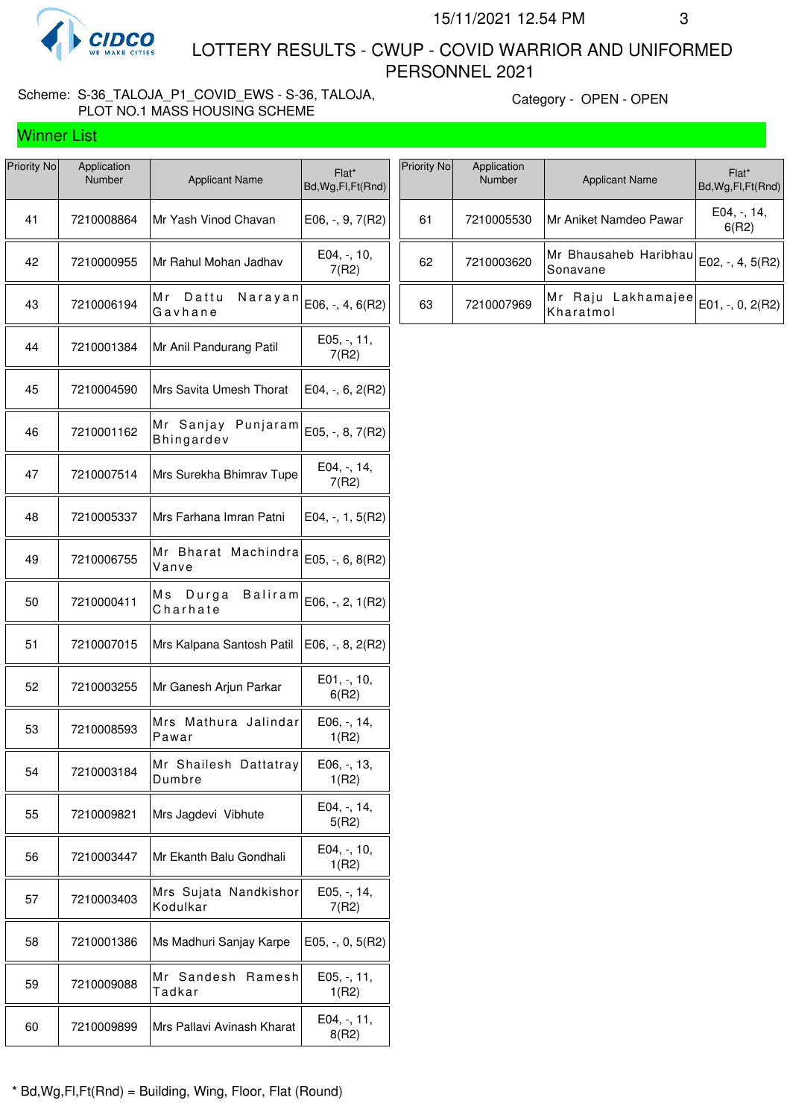

Winner List

 LOTTERY RESULTS - CWUP - COVID WARRIOR AND UNIFORMED PERSONNEL 2021

## Scheme: S-36\_TALOJA\_P1\_COVID\_EWS - S-36, TALOJA, PLOT NO.1 MASS HOUSING SCHEME

Category - OPEN - OPEN

| Priority No | Application<br>Number | <b>Applicant Name</b>                      | Flat*<br>Bd, Wg, Fl, Ft (Rnd) |
|-------------|-----------------------|--------------------------------------------|-------------------------------|
| 41          | 7210008864            | Mr Yash Vinod Chavan                       | $E06, -, 9, 7(R2)$            |
| 42          | 7210000955            | Mr Rahul Mohan Jadhav                      | E04, -, 10,<br>7(R2)          |
| 43          | 7210006194            | Мr<br>Dattu<br>Narayan<br>Gavhane          | $E06, -, 4, 6(R2)$            |
| 44          | 7210001384            | Mr Anil Pandurang Patil                    | $E05, -11,$<br>7(R2)          |
| 45          | 7210004590            | Mrs Savita Umesh Thorat                    | E04, -, 6, 2(R2)              |
| 46          | 7210001162            | Mr Sanjay<br>Punjaram<br><b>Bhingardev</b> | E05, -, 8, 7(R2)              |
| 47          | 7210007514            | Mrs Surekha Bhimrav Tupe                   | E04, -, 14,<br>7(R2)          |
| 48          | 7210005337            | Mrs Farhana Imran Patni                    | $E04, -1, 5(R2)$              |
| 49          | 7210006755            | Mr Bharat Machindra<br>Vanve               | $E05, -, 6, 8(R2)$            |
| 50          | 7210000411            | Ms Durga<br>Baliram<br>Charhate            | E06, -, 2, 1(R2)              |
| 51          | 7210007015            | Mrs Kalpana Santosh Patil                  | $E06, -, 8, 2(R2)$            |
| 52          | 7210003255            | Mr Ganesh Arjun Parkar                     | E01, -, 10,<br>6(R2)          |
| 53          | 7210008593            | Mrs Mathura Jalindar<br>Pawar              | E06, -, 14,<br>1(R2)          |
| 54          | 7210003184            | Mr Shailesh Dattatray<br>Dumbre            | E06, -, 13,<br>1(R2)          |
| 55          | 7210009821            | Mrs Jagdevi Vibhute                        | E04, -, 14,<br>5(R2)          |
| 56          | 7210003447            | Mr Ekanth Balu Gondhali                    | E04, -, 10,<br>1(R2)          |
| 57          | 7210003403            | Mrs Sujata Nandkishor<br>Kodulkar          | E05, -, 14,<br>7(R2)          |
| 58          | 7210001386            | Ms Madhuri Sanjay Karpe                    | $E05, -, 0, 5(R2)$            |
| 59          | 7210009088            | Мr<br>Sandesh<br>Ramesh<br>Tadkar          | E05, -, 11,<br>1(R2)          |
| 60          | 7210009899            | Mrs Pallavi Avinash Kharat                 | E04, -, 11,<br>8(R2)          |
|             |                       |                                            |                               |

| Priority No | Application<br><b>Number</b> | <b>Applicant Name</b>             | $Flat*$<br>Bd, Wg, Fl, Ft (Rnd) |
|-------------|------------------------------|-----------------------------------|---------------------------------|
| 61          | 7210005530                   | Mr Aniket Namdeo Pawar            | $E04, -14,$<br>6(R2)            |
| 62          | 7210003620                   | Mr Bhausaheb Haribhau<br>Sonavane | E02, -, 4, $5(R2)$              |
| 63          | 7210007969                   | Mr Raju Lakhamajee<br>Kharatmol   | E01, -, 0, $2(R2)$              |